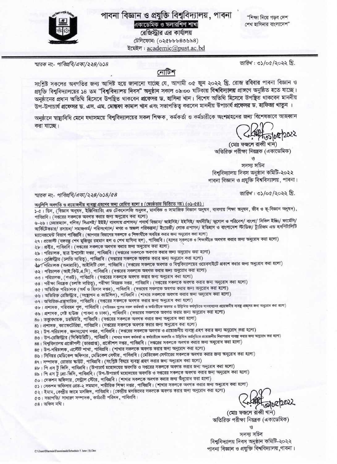## পাবনা বিজ্ঞান ও প্রযুক্তি বিশ্ববিদ্যালয়, পাবনা

একাডেমিক ও স্কলারশিপ শাখা

রেজিস্ট্রার এর কার্যালয় টেলিফোন: (০২৫৮৮৮৪৩৬৯৪) ইমেইল: academic@pust.ac.bd

"শিক্ষা নিয়ে গডব দেশ শেখ হাসিনার বাংলাদেশ"

স্মারক নং- পাবিপ্রবি/একা/২২৪/৬১৪

তারিখ: ৩১/০৫/২০২২ খ্রি.

### নোটিশ

সংশ্লিষ্ট সকলের অবগতির জন্য আদিষ্ট হয়ে জানানো যাচ্ছে যে, আগামী ০৫ জুন ২০২২ খ্রি. রোজ রবিবার পাবনা বিজ্ঞান ও প্রযক্তি বিশুবিদ্যালয়ের ১৪ তম "বিশুবিদ্যালয় দিবস" অনুষ্ঠান সকাল ০৯:০০ ঘটিকায় বিশ্ববিদ্যালয় প্রাঙ্গণে অনুষ্ঠিত হতে যাচ্ছে। অনুষ্ঠানের প্রধান অতিথি হিসেবে উপছিত থাকবেন প্রফেসর ড. হাসিনা খান। বিশেষ অতিথি হিসেবে উপছিত থাকবেন মাননীয় উপ-উপাচার্য প্রফেসর ড. এস. এম. মোন্তফা কামাল খান এবং সভাপতিত্ব করবেন মাননীয় উপাচার্য প্রফেসর ড. হাফিজা খাতুন ।

অনুষ্ঠানে স্বাষ্থ্যবিধি মেনে যথাসময়ে বিশ্ববিদ্যালয়ের সকল শিক্ষক, কর্মকর্তা ও কর্মচারীকে অংশগ্রহনের জন্য বিশেষভাবে আহব্বান করা যাচ্ছে।

1001012022

(মোঃ ফজলে রাব্বী খান) অতিরিক্ত পরীক্ষা নিয়ন্ত্রক (একাডেমিক)

সদস্য সচিব বিশ্ববিদ্যালয় দিবস অনুষ্ঠান কমিটি-২০২২ পাবনা বিজ্ঞান ও প্রযুক্তি বিশ্ববিদ্যালয়, পাবনা।

তারিখ: ৩১/০৫/২০২২ খ্রি.

#### স্মারক নং- পাবিপ্রবি/একা/২২৪/৬১৪/৫৪

অনুলিপি অবগতি ও প্রয়োজনীয় ব্যবস্থা গ্রহণের জন্য প্রেরিত হলো ঃ (জ্যেষ্ঠতার ভিত্তিতে নয়) (০১-৫৪)। ১-৫। ডিন, (বিজ্ঞান অনুষদ, ইঞ্জিনিয়ারিং এন্ড টেকনোলজি অনুষদ, মানবিক ও সামাজিক বিজ্ঞান অনুষদ, ব্যবসায় শিক্ষা অনুষদ, জীব ও ভূ-বিজ্ঞান অনুষদ), পাবিপ্রবি। (দগুরের সকলকে অবগত করার জন্য অনুরোধ করা হলো) ৬-২৬। চেয়ারম্যান, গণিত/ সিএসই/ ইইই/ ব্যবসায় প্রশাসন/ পদার্থ বিজ্ঞান/ আইসিই/ ইইসিই/ অর্থনীতি/ ভূগোল ও পরিবেশ/ বাংলা/ সিভিল ইঞ্জি/ ফার্মেসি/ আর্কিটেকচার/ রসায়ন/ সমাজকর্ম/ পরিসংখ্যান/ নগর ও অঞ্চল পরিকল্পনা/ ইংরেজী/ লোক প্রশাসন/ ইতিহাস ও বাংলাদেশ স্টাডিজ/ ট্যুরিজম এন্ড হসপিটালিটি ম্যানেজমেন্ট বিভাগ পাবিপ্রবি। (আপনার বিভাগের সকলকে ও শিক্ষার্থীকে অবহিত করার জন্য অনুরোধ করা হলো) ২৭। প্রভোস্ট (বঙ্গবন্ধু শেখ মুজিবুর রহমান হল ও শেখ হাসিনা হল), পাবিপ্রবি। (হলের সুকলকে ও শিক্ষার্থীকে অবগত করার জন্য অনুরোধ করা হলো) ২৮। প্রক্টর, পাবিপ্রবি। (দগুরের সকলকে অবগত করার জন্য অনুরোধ করা হলো) ২৯। পরিচালক, ছাত্র উপদেষ্টা দগুর, পাবিপ্রবি। (দগুরের সকলকে অবগত করার জন্য অনুরোধ করা হলো) ৩০। বেজিস্ট্রার (চলতি দায়িত্ব), পাবিপ্রবি। (দগুরের সকলকে অবগত করার জন্য অনুরোধ করা হলো) ৬১। পরিচালক (অনারারি), আইসিটি সেল, পাবিপ্রবি। (দগুরের সকলকে অবগত ও বিশ্ববিদ্যালয়ের ওয়েবসাইটে প্রকাশ করার জন্য অনুরোধ করা হলো) ৩২। পরিচালক (আই.কিউ.এ.সি), পাবিপ্রবি। (দগুরের সকলকে অবগত করার জন্য অনুরোধ করা হলো) ৩৩। পরিচালক, (পওউ), পাবিপ্রবি। (দগুরের সকলকে অবগত করার জন্য অনুরোধ করা হলো) ৩৪। পরীক্ষা নিয়ন্ত্রক (চলতি দায়িত্ব), পরীক্ষা নিয়ন্ত্রক দণ্ডর, পাবিপ্রবি। (দণ্ডরের সকলকে অবগত করার জন্য অনুরোধ করা হলো) ৩৫। অতিরিক্ত পরিচালক (অর্থ ও হিসাব দগুর), পাবিপ্রবি। (দগুরের সকলকে অবগত করার জন্য অনুরোধ করা হলো) ৩৬। অতিরিক্ত রেজিস্ট্রার, (সংস্থাপন ও কাউন্সিল), পাবিপ্রবি। (শাখার সকলকে অবগত করার জন্য অনুরোধ করা হলো) ৩৭। অতিরিক্ত-গ্রন্থাগারিক, পাবিপ্রবি। (দগুরের সকলকে অবগত করার জন্য অনুরোধ করা হলো) ৩৮। প্রশাসক , পরিবহন পুল , পাবিপ্রবি। (পরিবহন পুলের সকল কর্মকর্তা ও কর্মচরীকে অবগত ও উল্লিখিত কর্মসচিতে যানবাহনের প্রয়োজনীয় ব্যবহা গ্রহণের জন্য অনুরোধ করা হলো) ৩৯। প্রশাসক, গেষ্ট হাউজ (পাবনা ও ঢাকা), পাবিপ্রবি। (দগুরের সকলকে অবগত করার জন্য অনুরোধ করা হলো) ৪০। তত্ত্বাবধায়ক, ডরমিটরি, পাবিপ্রবি। (দণ্ডরের সকলকে অবগত করার জন্য অনুরোধ করা হলো) ৪১। প্রশাসক, ক্যাফেটেরিয়া, পাবিপ্রবি। (দগুরের সকলকে অবগত করার জন্য অনুরোধ করা হলো) ৪২। উপ-পরিচালক, জনসংযোগ দগুর, পাবিপ্রবি। (দগুরের সকলকে অবগত ও প্রয়োজনীয় ব্যবন্থা গ্রহণ করার জন্য অনুরোধ করা হলো) ৪৩। উপ-রেজিস্ট্রার (সিকিউরিটি), পাবিপ্রবি। (শাখার সকল কর্মকর্তা ও কর্মচারীকে অবগতি ও উলিখিত কর্মসূচিতে প্রয়োজনীয় নিরাপত্তার ব্যবহ্য করার জন্য অনুরোধ করা হলো) 88। বিশ্ববিদ্যালয় প্রকৌশলী (ভারপ্রাপ্ত), প্রকৌশল দগুর, পাবিপ্রবি। (দগুরের সকলকে অবগত করার জন্য অনুরোধ করা হলো) ৪৫। উপ-পরিচালক, এস্টেট শাখা, পাবিপ্রবি। (শাখার সকলকে অবগত করার জন্য অনুরোধ করা হলো) ৪৬। সিনিয়র মেডিকেল অফিসার, মেডিকেল সেন্টার, পাবিপ্রবি। (মেডিকেল সেন্টারের সকলকে অবগত করার জন্য অনুরোধ করা হলো) 8৭। সম্পাদক, রোভার স্কাউট, পাবিপ্রবি। (সংশ্রিষ্ট বিষয়ে ব্যবস্থা গ্রহণ করার জন্য অনুরোধ করা হলো) ৪৮। পি এস টু ভিসি, পাবিপ্রবি। (উপাচার্য মহোদয়ের অবগতি ও দগুরের সকলকে অবগত করার জন্য অনুরোধ করা হলো) ৪৯। পি এস টু প্রো-ভিসি, পাবিপ্রবি। (উপ-উপাচার্য মহোদয়ের অবগতি ও দপ্তরের সকলকে অবগত করার জন্য অনুরোধ করা হলো) ৫০। সেকশন অফিসার, সেন্ট্রাল স্টোর, পাবিপ্রবি। (শাখার সকলকে অবগত করার জন্য অঁনুরোধ করা হলো) ৫১। সেকশন অফিসার গ্রেড-২ সমমান, শারীরিক শিক্ষা দগুর, পাবিপ্রবি। (শাখার সকলকে অবগত করার জন্য অনুরোধ করা হলো) ৫২। ইমাম, কেন্দ্রীয় জামে মসজিদ, পাবিপ্রবি। (কেন্দ্রীয় মসজিদের সকলকে অবগত করার জন্য অনুরোধ করা হলো) ৫৩। সভাপতি/ সাধারণ সম্পাদক, কর্মচারী পরিষদ, পাবিপ্রবি। 02/2022  $68$ । অফিস নথি। (মোঃ ফজলে রাব্বী খান) অতিরিক্ত পরীক্ষা নিয়ন্ত্রক (একাডেমিক)

সদস্য সচিব বিশ্ববিদ্যালয় দিবস অনুষ্ঠান কমিটি-২০২২ পাবনা বিজ্ঞান ও প্রযুক্তি বিশ্ববিদ্যালয়,পাবনা।